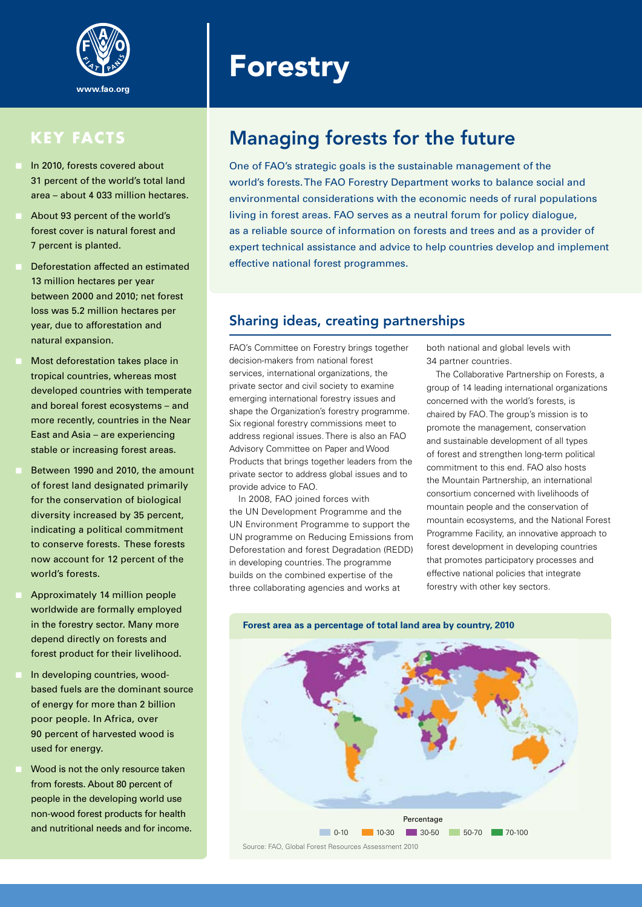

- n In 2010, forests covered about 31 percent of the world's total land area – about 4 033 million hectares.
- About 93 percent of the world's forest cover is natural forest and 7 percent is planted.
- Deforestation affected an estimated 13 million hectares per year between 2000 and 2010; net forest loss was 5.2 million hectares per year, due to afforestation and natural expansion.
- Most deforestation takes place in tropical countries, whereas most developed countries with temperate and boreal forest ecosystems – and more recently, countries in the Near East and Asia – are experiencing stable or increasing forest areas.
- Between 1990 and 2010, the amount of forest land designated primarily for the conservation of biological diversity increased by 35 percent, indicating a political commitment to conserve forests. These forests now account for 12 percent of the world's forests.
- Approximately 14 million people worldwide are formally employed in the forestry sector. Many more depend directly on forests and forest product for their livelihood.
- In developing countries, woodbased fuels are the dominant source of energy for more than 2 billion poor people. In Africa, over 90 percent of harvested wood is used for energy.
- Wood is not the only resource taken from forests. About 80 percent of people in the developing world use non-wood forest products for health and nutritional needs and for income.

# **Forestry**

## KEY FACTS Managing forests for the future

One of FAO's strategic goals is the sustainable management of the world's forests. The FAO Forestry Department works to balance social and environmental considerations with the economic needs of rural populations living in forest areas. FAO serves as a neutral forum for policy dialogue, as a reliable source of information on forests and trees and as a provider of expert technical assistance and advice to help countries develop and implement effective national forest programmes.

#### Sharing ideas, creating partnerships

FAO's Committee on Forestry brings together decision-makers from national forest services, international organizations, the private sector and civil society to examine emerging international forestry issues and shape the Organization's forestry programme. Six regional forestry commissions meet to address regional issues. There is also an FAO Advisory Committee on Paper and Wood Products that brings together leaders from the private sector to address global issues and to provide advice to FAO.

In 2008, FAO joined forces with the UN Development Programme and the UN Environment Programme to support the UN programme on Reducing Emissions from Deforestation and forest Degradation (REDD) in developing countries. The programme builds on the combined expertise of the three collaborating agencies and works at

both national and global levels with 34 partner countries.

The Collaborative Partnership on Forests, a group of 14 leading international organizations concerned with the world's forests, is chaired by FAO. The group's mission is to promote the management, conservation and sustainable development of all types of forest and strengthen long-term political commitment to this end. FAO also hosts the Mountain Partnership, an international consortium concerned with livelihoods of mountain people and the conservation of mountain ecosystems, and the National Forest Programme Facility, an innovative approach to forest development in developing countries that promotes participatory processes and effective national policies that integrate forestry with other key sectors.



**Forest area as a percentage of total land area by country, 2010**